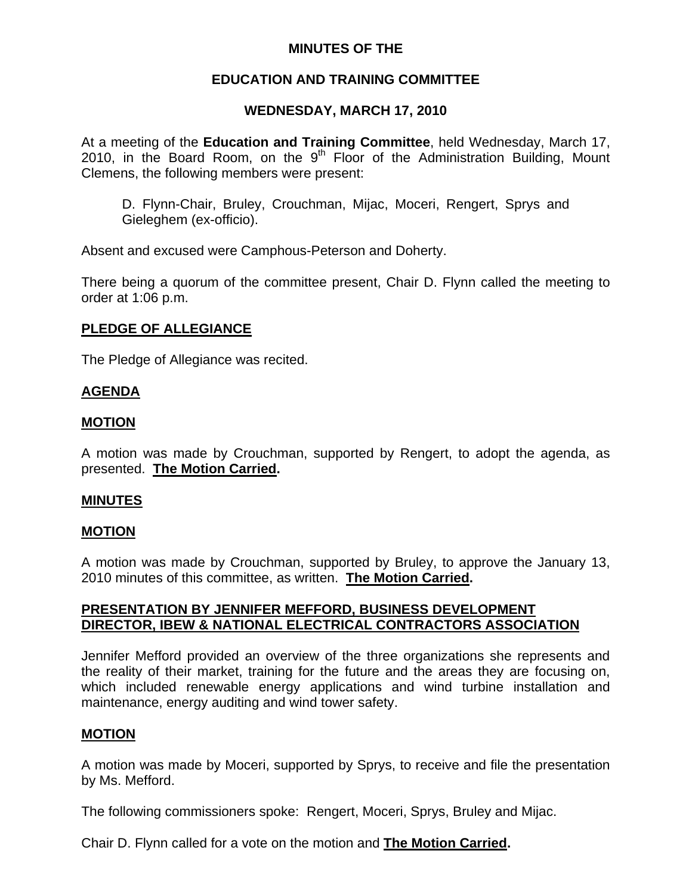## **MINUTES OF THE**

## **EDUCATION AND TRAINING COMMITTEE**

## **WEDNESDAY, MARCH 17, 2010**

At a meeting of the **Education and Training Committee**, held Wednesday, March 17, 2010, in the Board Room, on the  $9<sup>th</sup>$  Floor of the Administration Building, Mount Clemens, the following members were present:

D. Flynn-Chair, Bruley, Crouchman, Mijac, Moceri, Rengert, Sprys and Gieleghem (ex-officio).

Absent and excused were Camphous-Peterson and Doherty.

There being a quorum of the committee present, Chair D. Flynn called the meeting to order at 1:06 p.m.

## **PLEDGE OF ALLEGIANCE**

The Pledge of Allegiance was recited.

## **AGENDA**

### **MOTION**

A motion was made by Crouchman, supported by Rengert, to adopt the agenda, as presented. **The Motion Carried.** 

#### **MINUTES**

## **MOTION**

A motion was made by Crouchman, supported by Bruley, to approve the January 13, 2010 minutes of this committee, as written. **The Motion Carried.** 

## **PRESENTATION BY JENNIFER MEFFORD, BUSINESS DEVELOPMENT DIRECTOR, IBEW & NATIONAL ELECTRICAL CONTRACTORS ASSOCIATION**

Jennifer Mefford provided an overview of the three organizations she represents and the reality of their market, training for the future and the areas they are focusing on, which included renewable energy applications and wind turbine installation and maintenance, energy auditing and wind tower safety.

#### **MOTION**

A motion was made by Moceri, supported by Sprys, to receive and file the presentation by Ms. Mefford.

The following commissioners spoke: Rengert, Moceri, Sprys, Bruley and Mijac.

Chair D. Flynn called for a vote on the motion and **The Motion Carried.**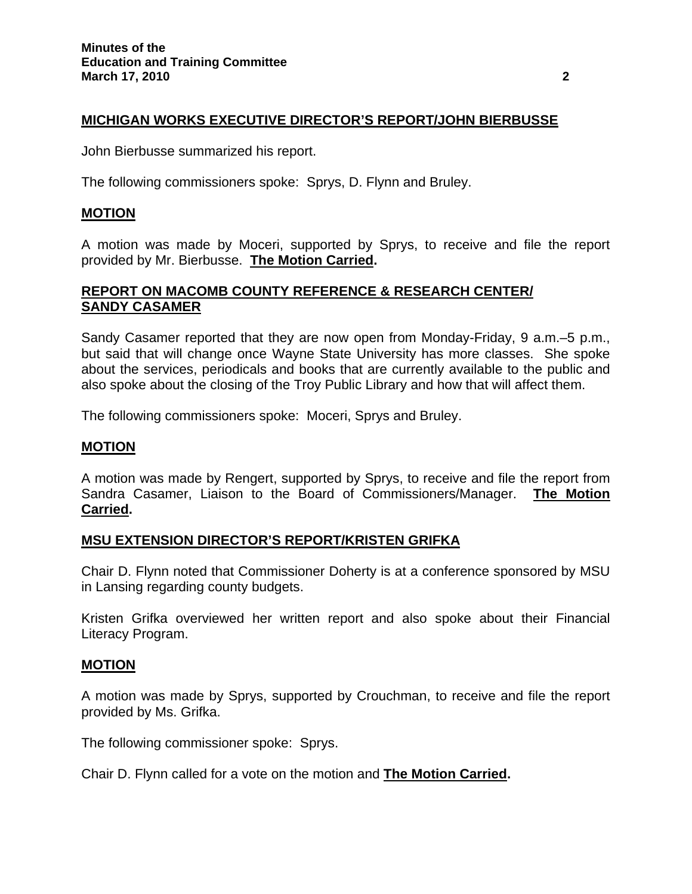## **MICHIGAN WORKS EXECUTIVE DIRECTOR'S REPORT/JOHN BIERBUSSE**

John Bierbusse summarized his report.

The following commissioners spoke: Sprys, D. Flynn and Bruley.

#### **MOTION**

A motion was made by Moceri, supported by Sprys, to receive and file the report provided by Mr. Bierbusse. **The Motion Carried.** 

### **REPORT ON MACOMB COUNTY REFERENCE & RESEARCH CENTER/ SANDY CASAMER**

Sandy Casamer reported that they are now open from Monday-Friday, 9 a.m.–5 p.m., but said that will change once Wayne State University has more classes. She spoke about the services, periodicals and books that are currently available to the public and also spoke about the closing of the Troy Public Library and how that will affect them.

The following commissioners spoke: Moceri, Sprys and Bruley.

#### **MOTION**

A motion was made by Rengert, supported by Sprys, to receive and file the report from Sandra Casamer, Liaison to the Board of Commissioners/Manager. **The Motion Carried.** 

#### **MSU EXTENSION DIRECTOR'S REPORT/KRISTEN GRIFKA**

Chair D. Flynn noted that Commissioner Doherty is at a conference sponsored by MSU in Lansing regarding county budgets.

Kristen Grifka overviewed her written report and also spoke about their Financial Literacy Program.

#### **MOTION**

A motion was made by Sprys, supported by Crouchman, to receive and file the report provided by Ms. Grifka.

The following commissioner spoke: Sprys.

Chair D. Flynn called for a vote on the motion and **The Motion Carried.**